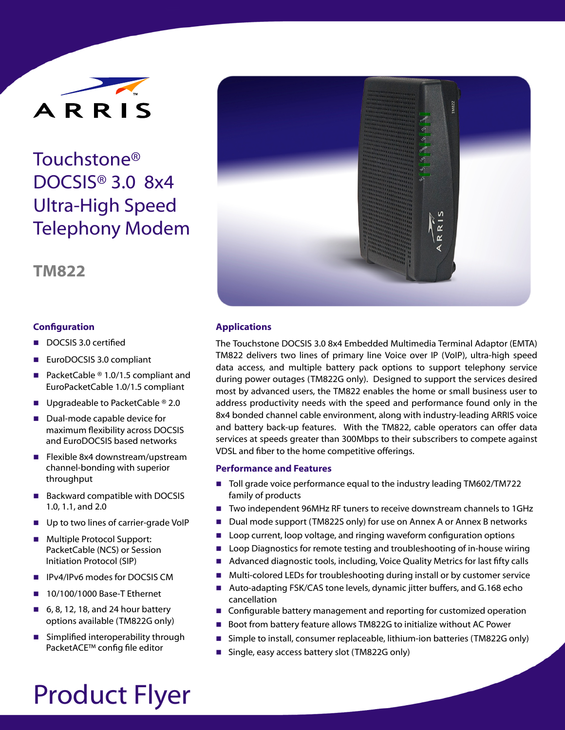

# Touchstone® DOCSIS® 3.0 8x4 Ultra-High Speed Telephony Modem

## **TM822**

#### **Con!guration**

- DOCSIS 3.0 certified
- EuroDOCSIS 3.0 compliant
- PacketCable  $@ 1.0/1.5$  compliant and EuroPacketCable 1.0/1.5 compliant
- **Upgradeable to PacketCable ® 2.0**
- Dual-mode capable device for maximum flexibility across DOCSIS and EuroDOCSIS based networks
- **E** Flexible 8x4 downstream/upstream channel-bonding with superior throughput
- Backward compatible with DOCSIS 1.0, 1.1, and 2.0
- ! Up to two lines of carrier-grade VoIP
- **Multiple Protocol Support:** PacketCable (NCS) or Session Initiation Protocol (SIP)
- ! IPv4/IPv6 modes for DOCSIS CM
- ! 10/100/1000 Base-T Ethernet
- 6, 8, 12, 18, and 24 hour battery options available (TM822G only)
- $\blacksquare$  Simplified interoperability through PacketACE™ config file editor



#### **Applications**

The Touchstone DOCSIS 3.0 8x4 Embedded Multimedia Terminal Adaptor (EMTA) TM822 delivers two lines of primary line Voice over IP (VoIP), ultra-high speed data access, and multiple battery pack options to support telephony service during power outages (TM822G only). Designed to support the services desired most by advanced users, the TM822 enables the home or small business user to address productivity needs with the speed and performance found only in the 8x4 bonded channel cable environment, along with industry-leading ARRIS voice and battery back-up features. With the TM822, cable operators can offer data services at speeds greater than 300Mbps to their subscribers to compete against VDSL and fiber to the home competitive offerings.

#### **Performance and Features**

- Toll grade voice performance equal to the industry leading TM602/TM722 family of products
- Two independent 96MHz RF tuners to receive downstream channels to 1GHz
- Dual mode support (TM822S only) for use on Annex A or Annex B networks
- Loop current, loop voltage, and ringing waveform configuration options
- **IDED** Loop Diagnostics for remote testing and troubleshooting of in-house wiring
- Advanced diagnostic tools, including, Voice Quality Metrics for last fifty calls
- Multi-colored LEDs for troubleshooting during install or by customer service
- Auto-adapting FSK/CAS tone levels, dynamic jitter buffers, and G.168 echo cancellation
- Configurable battery management and reporting for customized operation
- ! Boot from battery feature allows TM822G to initialize without AC Power
- Simple to install, consumer replaceable, lithium-ion batteries (TM822G only)
- **E** Single, easy access battery slot (TM822G only)

# Product Flyer